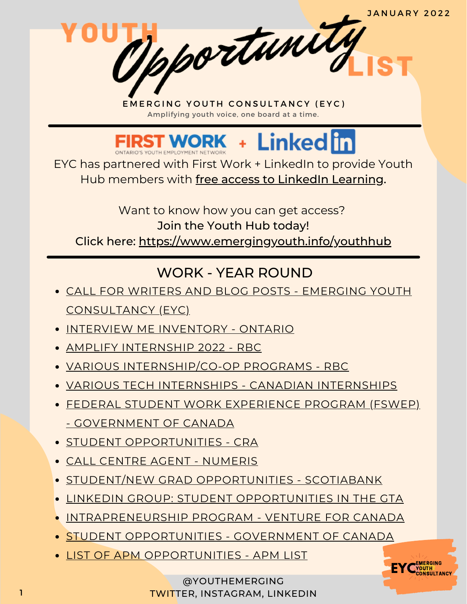Mportunity



EYC has partnered with First Work + LinkedIn to provide Youth Hub members with free access to LinkedIn Learning.

Want to know how you can get access? Join the Youth Hub today! Click here: <https://www.emergingyouth.info/youthhub>

# WORK - YEAR ROUND

- CALL FOR WRITERS AND BLOG POSTS EMERGING YOUTH [CONSULTANCY](https://www.emergingyouth.info/youthhub) (EYC)
- **.** INTERVIEW ME [INVENTORY](https://marsdd.formstack.com/forms/interviewme_ontario) ONTARIO
- AMPLIFY [INTERNSHIP](https://jobs.rbc.com/ca/en/amplify#Amplify2022_Jobs) 2022 RBC
- VARIOUS [INTERNSHIP/CO-OP](https://jobs.rbc.com/ca/en/featuredopportunities/student-early-talent-jobs) PROGRAMS RBC
- VARIOUS TECH INTERNSHIPS CANADIAN [INTERNSHIPS](https://www.findcanadianinternships.ca/)
- FEDERAL STUDENT WORK EXPERIENCE PROGRAM (FSWEP) - [GOVERNMENT](https://www.canada.ca/en/public-service-commission/jobs/services/recruitment/students/federal-student-work-program.html) OF CANADA
- **STUDENT [OPPORTUNITIES](https://careers-carrieres.cra-arc.gc.ca/gol-ged/wcis/pub/rtrvjbpst.action?pi=D06726B228B01EDBB2C1A18D2C3EA0F2) CRA**
- CALL CENTRE AGENT [NUMERIS](https://numeris.csod.com/ux/ats/careersite/6/home/requisition/406?c=numeris)
- **STUDENT/NEW GRAD [OPPORTUNITIES](https://jobs.scotiabank.com/go/Student-&-New-Grad-Jobs/2298417/?utm_campaign=JB_Sept20_Campus_CareerSite_CTA_EN) SCOTIABANK**
- LINKEDIN GROUP: STUDENT [OPPORTUNITIES](https://www.linkedin.com/groups/12455311) IN THE GTA
- [INTRAPRENEURSHIP](https://ventureforcanada.ca/programs/intrapreneurship) PROGRAM VENTURE FOR CANADA
- **. STUDENT [OPPORTUNITIES](https://jobs-emplois.cse-cst.gc.ca/en/careers-carrieres/students-etudiants/opportunities) GOVERNMENT OF CANADA**
- **· LIST OF APM [OPPORTUNITIES](https://apmlist.com/) APM LIST**

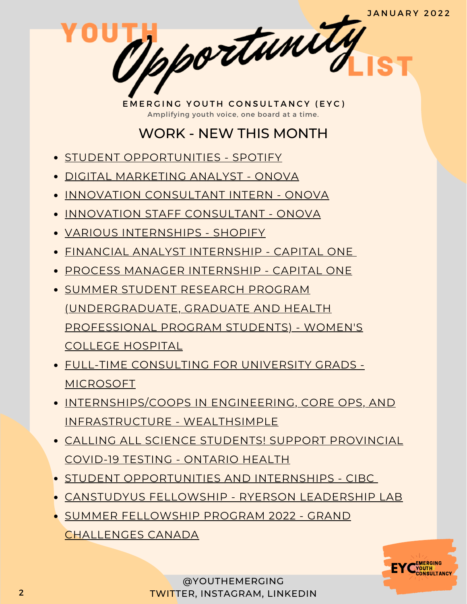1 portunity

## WORK - NEW THIS MONTH

- **STUDENT [OPPORTUNITIES](https://www.lifeatspotify.com/students) SPOTIFY**
- DIGITAL [MARKETING](https://www.onova.io/onova-digital-marketing-analyst) ANALYST ONOVA
- **INNOVATION [CONSULTANT](https://www.onova.io/innovation-consulting-internship) INTERN ONOVA**
- **INNOVATION STAFF [CONSULTANT](https://www.onova.io/onova-staff-consultant) ONOVA**
- VARIOUS [INTERNSHIPS](https://www.shopify.ca/careers/search?teams%5B%5D=interns&keywords=&sort=team_asc) SHOPIFY
- FINANCIAL ANALYST [INTERNSHIP](https://capitalone.wd1.myworkdayjobs.com/Capital_One/job/Toronto-ON/Financial-Analyst--Summer-Intern-Co-op-2022_R129865) CAPITAL ONE
- PROCESS MANAGER [INTERNSHIP](https://capitalone.wd1.myworkdayjobs.com/Capital_One/job/Toronto-ON/Process-Manager--Summer-Intern-Co-op-2022_R129864) CAPITAL ONE
- **. SUMMER STUDENT RESEARCH PROGRAM** [\(UNDERGRADUATE,](https://www.womensresearch.ca/trainees/summer-student-research-opportunities/) GRADUATE AND HEALTH PROFESSIONAL PROGRAM STUDENTS) - WOMEN'S COLLEGE HOSPITAL
- FULL-TIME [CONSULTING](https://www.linkedin.com/jobs/view/2653696871/) FOR UNIVERSITY GRADS MICROSOFT
- [INTERNSHIPS/COOPS](https://jobs.lever.co/wealthsimple?commitment=Intern) IN ENGINEERING, CORE OPS, AND INFRASTRUCTURE - WEALTHSIMPLE
- CALLING ALL SCIENCE STUDENTS! SUPPORT [PROVINCIAL](https://forms.office.com/Pages/ResponsePage.aspx?id=XGz5Tj_Ya0akeIFqW7SvYjEO0qvlfkRBpeFo6ntqngdUMVdMQTgwWUFMOVZaUzdUQlQyRlBIRjlNVS4u) COVID-19 TESTING - ONTARIO HEALTH
- STUDENT [OPPORTUNITIES](https://cibc.wd3.myworkdayjobs.com/campus/2/refreshFacet/318c8bb6f553100021d223d9780d30be) AND INTERNSHIPS CIBC
- [CANSTUDYUS](https://www.ryersonleadlab.com/canstudyus) FELLOWSHIP RYERSON LEADERSHIP LAB
- SUMMER FELLOWSHIP PROGRAM 2022 GRAND [CHALLENGES](https://app.smartsheet.com/b/form/715f63922e304e698260b011c6d2896f) CANADA

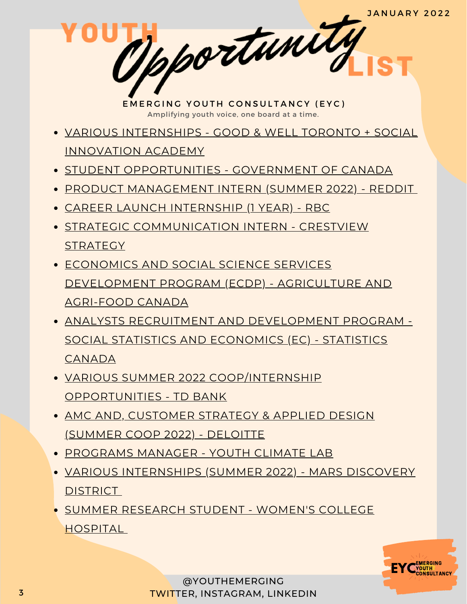Mpportunity

- VARIOUS [INTERNSHIPS](https://goodandwell.ca/jobs/) GOOD & WELL TORONTO + SOCIAL INNOVATION ACADEMY
- **STUDENT [OPPORTUNITIES](https://jobs-emplois.cse-cst.gc.ca/en/careers-carrieres/students-etudiants/opportunities) GOVERNMENT OF CANADA**
- PRODUCT [MANAGEMENT](https://boards.greenhouse.io/reddit/jobs/3538089) INTERN (SUMMER 2022) REDDIT
- CAREER LAUNCH [INTERNSHIP](https://jobs.rbc.com/ca/en/job/433841/RBC-Career-Launch-Internship) (1 YEAR) RBC
- STRATEGIC [COMMUNICATION](https://www.crestviewstrategy.ca/strategiccommunications-intern) INTERN CRESTVIEW **STRATEGY**
- ECONOMICS AND SOCIAL SCIENCE SERVICES [DEVELOPMENT](https://emploisfp-psjobs.cfp-psc.gc.ca/psrs-srfp/applicant/page1800?poster=1699963) PROGRAM (ECDP) - AGRICULTURE AND AGRI-FOOD CANADA
- ANALYSTS RECRUITMENT AND [DEVELOPMENT](https://emploisfp-psjobs.cfp-psc.gc.ca/psrs-srfp/applicant/page1800?poster=1699470) PROGRAM SOCIAL STATISTICS AND ECONOMICS (EC) - STATISTICS CANADA
- VARIOUS SUMMER 2022 [COOP/INTERNSHIP](https://jobs.td.com/en-CA/job-search-results/?addtnl_categories=Campus%20Program&sub_category=Internship%2FCo-Op%20and%20Summer%20Opportunities) OPPORTUNITIES - TD BANK
- AMC AND, [CUSTOMER](https://careers.deloitte.ca/job/Toronto-Consulting-Deloitte-Digital-AMC-and%2C-Customer-Strategy-&-Applied-Design-Summer-Coop-2022-National-ON-M5C-3G7/822157300/) STRATEGY & APPLIED DESIGN (SUMMER COOP 2022) - DELOITTE
- [PROGRAMS](https://www.youthclimatelab.org/join-the-team) MANAGER YOUTH CLIMATE LAB
- VARIOUS [INTERNSHIPS](https://boards.greenhouse.io/marsdiscoverydistrict) (SUMMER 2022) MARS DISCOVERY **DISTRICT**
- SUMMER [RESEARCH](https://wch.njoyn.com/cl3/xweb/Xweb.asp?tbtoken=Yl9RQhsXCGpxEAYHMCZXCFJJARdEcFJcB0hZIS0KExBZKzVqXEFoLiUuQC4kXmFxcwkbURBUSHAqWA%3D%3D&chk=ZVpaShw%3D&CLID=55610&page=jobdetails&JobID=J1121-0901&lang=1) STUDENT WOMEN'S COLLEGE HOSPITAL

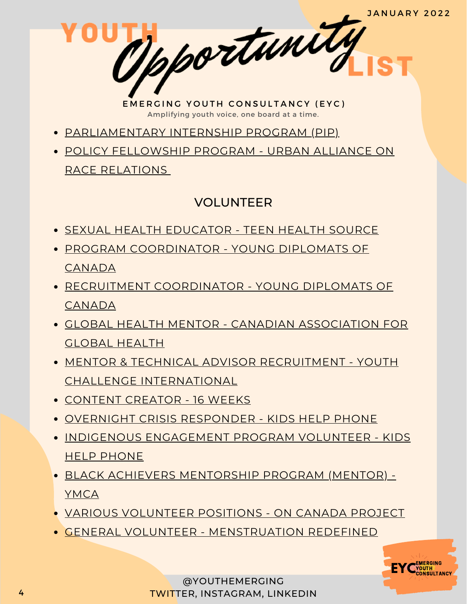Mpportunity

- [PARLIAMENTARY](https://pip-psp.org/apply/) INTERNSHIP PROGRAM (PIP)
- POLICY [FELLOWSHIP](https://www.linkedin.com/posts/urban-alliance-on-race-relations_recruitment-volunteeropportunity-studentopportunities-activity-6887099257887748097-6x3X) PROGRAM URBAN ALLIANCE ON RACE RELATION[S](https://www.linkedin.com/posts/urban-alliance-on-race-relations_recruitment-volunteeropportunity-studentopportunities-activity-6887099257887748097-6x3X)

#### VOLUNTEER

- SEXUAL HEALTH [EDUCATOR](https://teenhealthsource.com/blog/volunteer/) TEEN HEALTH SOURCE
- PROGRAM [COORDINATOR](https://youngdiplomats.ca/apply) YOUNG DIPLOMATS OF CANADA
- RECRUITMENT [COORDINATOR](https://youngdiplomats.ca/apply) YOUNG DIPLOMATS OF CANADA
- GLOBAL HEALTH MENTOR CANADIAN [ASSOCIATION](https://cagh-acsm.org/en/notre-travail/reseau-detudiants-et-de-jeunes-professionnels/mentornet/become-mentormentee) FOR GLOBAL HEALTH
- MENTOR & TECHNICAL ADVISOR RECRUITMENT YOUTH CHALLENGE [INTERNATIONAL](https://www.yci.org/InnovateMYFuture/Climate-Leader-call-for-mentors/)
- [CONTENT](https://docs.google.com/forms/d/e/1FAIpQLSdrPDQyYnWAdQ9yYXP0GKw-ftm8b_vwJzkFtFke8Lme939OPA/viewform) CREATOR 16 WEEKS
- OVERNIGHT CRISIS [RESPONDER](https://kidshelpphone.ca/get-involved/participate/call-volunteers-crisis-text-line) KIDS HELP PHONE
- INDIGENOUS [ENGAGEMENT](https://kidshelpphone.ca/get-involved/first-nations-inuit-and-metis/volunteer-for-our-indigenous-engagement-program/) PROGRAM VOLUNTEER KIDS HELP PHONE
- BLACK ACHIEVERS [MENTORSHIP](https://ymcagta.org/youth-programs/Black-Achievers-Mentorship-Program) PROGRAM (MENTOR) YMCA
- VARIOUS [VOLUNTEER](https://docs.google.com/forms/d/e/1FAIpQLSciMF1ROT1f_mGS2Wx822QU0zDYcf3zka0UC9rIAM9z03W8Pw/viewform) POSITIONS ON CANADA PROJECT
- GENERAL VOLUNTEER [MENSTRUATION](https://docs.google.com/forms/d/e/1FAIpQLSe-ORQRxArU5ZwQWT3JfGEjRtyUwanp5p64UPHwK1nL5Pz__w/viewform) REDEFINED

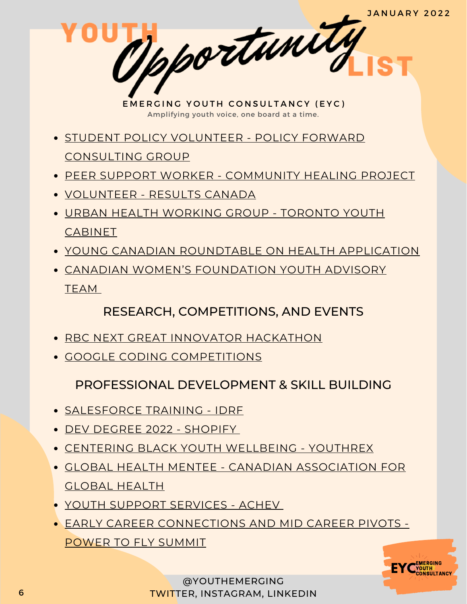pportunity

- **STUDENT POLICY VOLUNTEER POLICY FORWARD** [CONSULTING](https://www.linkedin.com/posts/policy-forward-consulting-group_policyforward-policyconsultants-volunteer-activity-6848327793269387264-k9jy) GROUP
- PEER SUPPORT WORKER [COMMUNITY](https://docs.google.com/forms/d/e/1FAIpQLSeZZAsfMLX6l0eMubTJwcnfsE2vA7KXosQXdes4u6ENLUXn7Q/viewform) HEALING PROJECT
- [VOLUNTEER](https://resultscanada.ca/#sign-up/) RESULTS CANADA
- URBAN HEALTH [WORKING](https://www.linkedin.com/posts/shahithya_youth-health-advocacy-activity-6862529000045199360-NZul/) GROUP TORONTO YOUTH CABINET
- YOUNG CANADIAN [ROUNDTABLE](https://docs.google.com/forms/d/e/1FAIpQLSc88LBd5fPoBXv-1-EerpfIAXvfwDaHEYhsvfPGckg67xrW6g/viewform) ON HEALTH APPLICATION
- CANADIAN WOMEN'S [FOUNDATION](https://docs.google.com/forms/d/e/1FAIpQLSeeOiRhcX_3eAQr8AsAErmVbvI4hWUWd1rUjxe4nZdoid8UKw/viewform) YOUTH ADVISORY TEAM

## RESEARCH, COMPETITIONS, AND EVENTS

- **RBC [NEXT](https://vote.pollstream.com/PollPopupContent.php?short_link=XrORTMM&cb=a26533974edca9a2c89c72b54cf7f559) GREAT INNOVATOR [HACKATHON](https://vote.pollstream.com/PollPopupContent.php?short_link=XrORTMM&cb=a26533974edca9a2c89c72b54cf7f559)**
- GOOGLE CODING [COMPETITIONS](https://codingcompetitions.withgoogle.com/)

PROFESSIONAL DEVELOPMENT & SKILL BUILDING

- [SALESFORCE](https://idrf.ca/project/salesforce/) TRAINING IDRF
- DEV DEGREE 2022 [SHOPIFY](https://jobs.smartrecruiters.com/ni/Shopify/f92f7d2f-7359-4066-9111-7df6054c6dc6-dev-degree-2022)
- CENTERING BLACK YOUTH [WELLBEING](https://youthrex.com/abr-certificate/) YOUTHREX
- GLOBAL HEALTH MENTEE CANADIAN [ASSOCIATION](https://cagh-acsm.org/en/notre-travail/reseau-detudiants-et-de-jeunes-professionnels/mentornet/become-mentormentee) FOR GLOBAL HEALTH
- YOUTH SUPPORT [SERVICES](https://achev.ca/services/youth/) ACHEV
- EARLY CAREER [CONNECTIONS](https://summit.powertofly.com/) AND MID CAREER PIVOTS POWER TO FLY SUMMIT

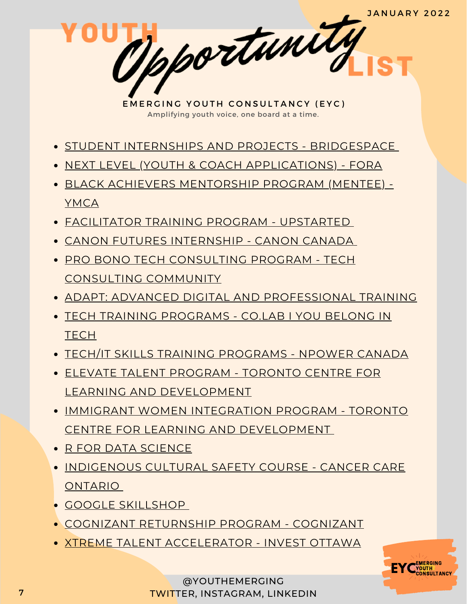pportunity

- **STUDENT INTERNSHIPS AND PROJECTS [BRIDGESPACE](https://bridgespace.io/)**
- NEXT LEVEL (YOUTH & COACH [APPLICATIONS\)](https://girls20.submittable.com/submit) FORA
- BLACK ACHIEVERS [MENTORSHIP](https://ymcagta.org/youth-programs/Black-Achievers-Mentorship-Program) PROGRAM (MENTEE) YMCA
- [FACILITATOR](https://docs.google.com/forms/d/e/1FAIpQLSe1fDhYODRagameDOKsf4_FfWns-yNAQEeNTHWK5Pn7XxHuog/viewform) TRAINING PROGRAM UPSTARTED
- CANON FUTURES [INTERNSHIP](https://www.canonfutures.ca/) CANON CANADA
- **PRO BONO TECH [CONSULTING](https://techconsultingcommunity.com/pro-bono-tech-consulting/) PROGRAM TECH** CONSULTING COMMUNITY
- ADAPT: ADVANCED DIGITAL AND [PROFESSIONAL](https://www.ryerson.ca/adapt/) TRAINING
- TECH TRAINING [PROGRAMS](https://www.joincolab.io/#Program-Tracks) CO.LAB I YOU BELONG IN **TECH**
- TECH/IT SKILLS TRAINING [PROGRAMS](https://npowercanada.ca/) NPOWER CANADA
- ELEVATE TALENT PROGRAM TORONTO CENTRE FOR LEARNING AND [DEVELOPMENT](https://www.tccld.org/programs/elevatetalent/)
- IMMIGRANT WOMEN INTEGRATION PROGRAM TORONTO CENTRE FOR LEARNING AND [DEVELOPMENT](https://survey.zohopublic.com/zs/I5CCbQ)
- R FOR DATA [SCIENCE](https://r4ds.had.co.nz/)
- **. [INDIGENOUS](https://elearning.cancercare.on.ca/course/view.php?id=101) CULTURAL SAFETY COURSE CANCER CARE** ONTARIO
- GOOGLE [SKILLSHOP](https://skillshop.withgoogle.com/)
- COGNIZANT [RETURNSHIP](https://careers.cognizant.com/global/en/cognizant-returnship-program) PROGRAM COGNIZANT
- XTREME TALENT [ACCELERATOR](https://www.investottawa.ca/xtreme-talent-accelerator/?utm_source=LinkedIn&utm_medium=Paid%20Ads&utm_campaign=XTAP%20Paid%20Ads&li_fat_id=f24b5ec5-db43-4428-88f9-92b5a2d0c0dc) INVEST OTTAWA

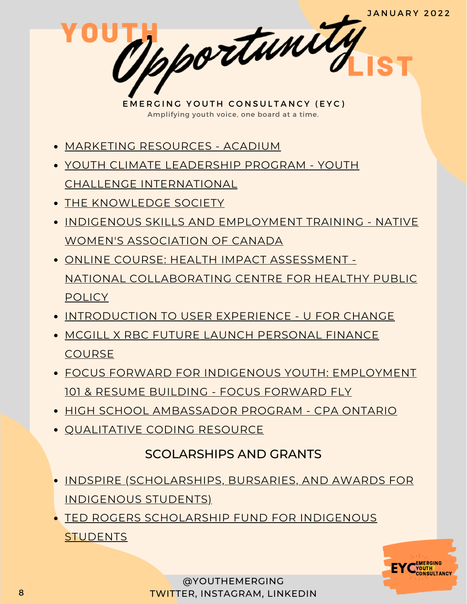pportunity

- MARKETING [RESOURCES](https://acadium.com/) ACADIUM
- YOUTH CLIMATE LEADERSHIP PROGRAM YOUTH CHALLENGE [INTERNATIONAL](https://www.yci.org/innovatemyfuture/youth-climate-leadership/)
- THE [KNOWLEDGE](https://tks.world/program/) SOCIETY
- **INDIGENOUS SKILLS AND [EMPLOYMENT](https://www.nwac.ca/iset/) TRAINING NATIVE** WOMEN'S ASSOCIATION OF CANADA
- ONLINE COURSE: HEALTH IMPACT ASSESSMENT NATIONAL [COLLABORATING](https://www.ncchpp.ca/274/online-course.ccnpps) CENTRE FOR HEALTHY PUBLIC **POLICY**
- **[INTRODUCTION](https://docs.google.com/forms/d/e/1FAIpQLSctSd9ZAcZBpswQj0URzEHVXlpF--qyT2AR6_1tKyoFS1iIYQ/viewform) TO USER EXPERIENCE U FOR CHANGE**
- MCGILL X RBC FUTURE LAUNCH [PERSONAL](https://learn.mcgillpersonalfinance.com/account/login/) FINANCE **COURSE**
- FOCUS FORWARD FOR INDIGENOUS YOUTH: [EMPLOYMENT](https://docs.google.com/forms/d/e/1FAIpQLSfRCREo2hIabn1L271SDl0wPRkApB5N12_6bON-DnyYu8lGEg/viewform) 101 & RESUME BUILDING - FOCUS FORWARD FLY
- HIGH SCHOOL [AMBASSADOR](https://www.cpaontario.ca/become-a-cpa/why-cpa/high-school-ambassador-program) PROGRAM CPA ONTARIO
- [QUALITATIVE](https://www.linkedin.com/posts/drphilipadu_qualitative-data-coding-workshop-activity-6819644783024230400-d0mU/) CODING RESOURCE

### SCOLARSHIPS AND GRANTS

- INDSPIRE [\(SCHOLARSHIPS,](https://indspire.ca/apply-now/) BURSARIES, AND AWARDS FOR INDIGENOUS STUDENTS)
- TED ROGERS [SCHOLARSHIP](https://indspire.ca/apply-now/) FUND FOR INDIGENOUS **STUDENTS**